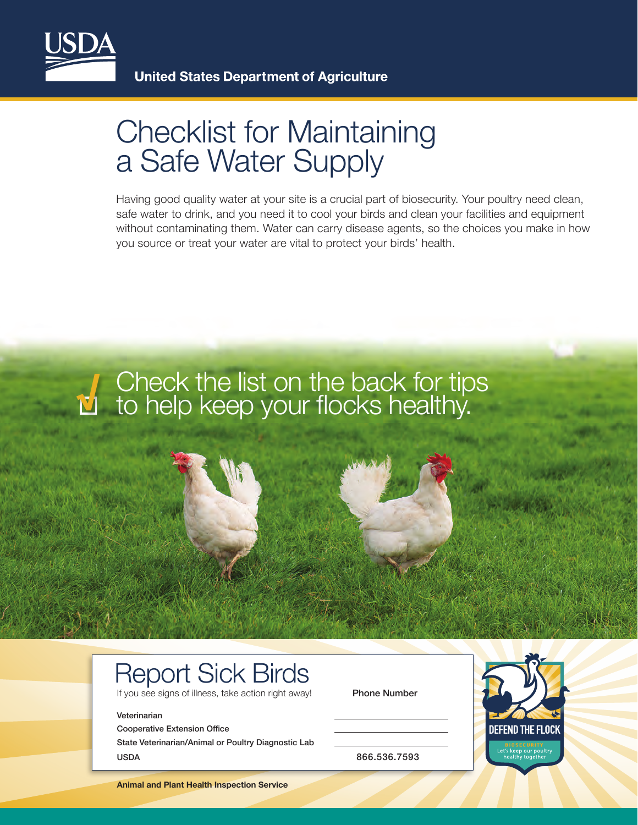

## Checklist for Maintaining a Safe Water Supply

Having good quality water at your site is a crucial part of biosecurity. Your poultry need clean, safe water to drink, and you need it to cool your birds and clean your facilities and equipment without contaminating them. Water can carry disease agents, so the choices you make in how you source or treat your water are vital to protect your birds' health.



## Report Sick Birds

If you see signs of illness, take action right away! Phone Number

## Veterinarian

Cooperative Extension Office State Veterinarian/Animal or Poultry Diagnostic Lab USDA 866.536.7593



**Animal and Plant Health Inspection Service**